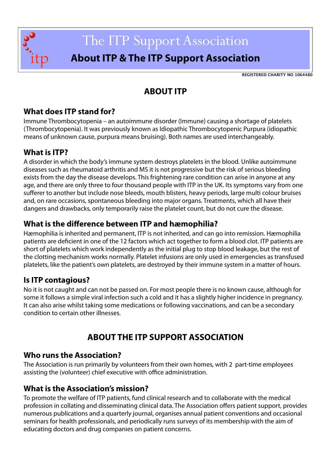

# The ITP Support Association

# **About ITP & The ITP Support Association**

**REGISTERED CHARITY NO 1064480**

# **ABOUT ITP**

#### **What does ITP stand for?**

Immune Thrombocytopenia – an autoimmune disorder (Immune) causing a shortage of platelets (Thrombocytopenia). It was previously known as Idiopathic Thrombocytopenic Purpura (idiopathic means of unknown cause, purpura means bruising). Both names are used interchangeably.

## **What is ITP?**

A disorder in which the body's immune system destroys platelets in the blood. Unlike autoimmune diseases such as rheumatoid arthritis and MS it is not progressive but the risk of serious bleeding exists from the day the disease develops. This frightening rare condition can arise in anyone at any age, and there are only three to four thousand people with ITP in the UK. Its symptoms vary from one sufferer to another but include nose bleeds, mouth blisters, heavy periods, large multi colour bruises and, on rare occasions, spontaneous bleeding into major organs. Treatments, which all have their dangers and drawbacks, only temporarily raise the platelet count, but do not cure the disease.

## **What is the difference between ITP and hæmophilia?**

Hæmophilia is inherited and permanent, ITP is not inherited, and can go into remission. Hæmophilia patients are deficient in one of the 12 factors which act together to form a blood clot. ITP patients are short of platelets which work independently as the initial plug to stop blood leakage, but the rest of the clotting mechanism works normally. Platelet infusions are only used in emergencies as transfused platelets, like the patient's own platelets, are destroyed by their immune system in a matter of hours.

#### **Is ITP contagious?**

No it is not caught and can not be passed on. For most people there is no known cause, although for some it follows a simple viral infection such a cold and it has a slightly higher incidence in pregnancy. It can also arise whilst taking some medications or following vaccinations, and can be a secondary condition to certain other illnesses.

# **ABOUT THE ITP SUPPORT ASSOCIATION**

#### **Who runs the Association?**

The Association is run primarily by volunteers from their own homes, with 2 part-time employees assisting the (volunteer) chief executive with office administration.

#### **What is the Association's mission?**

To promote the welfare of ITP patients, fund clinical research and to collaborate with the medical profession in collating and disseminating clinical data. The Association offers patient support, provides numerous publications and a quarterly journal, organises annual patient conventions and occasional seminars for health professionals, and periodically runs surveys of its membership with the aim of educating doctors and drug companies on patient concerns.